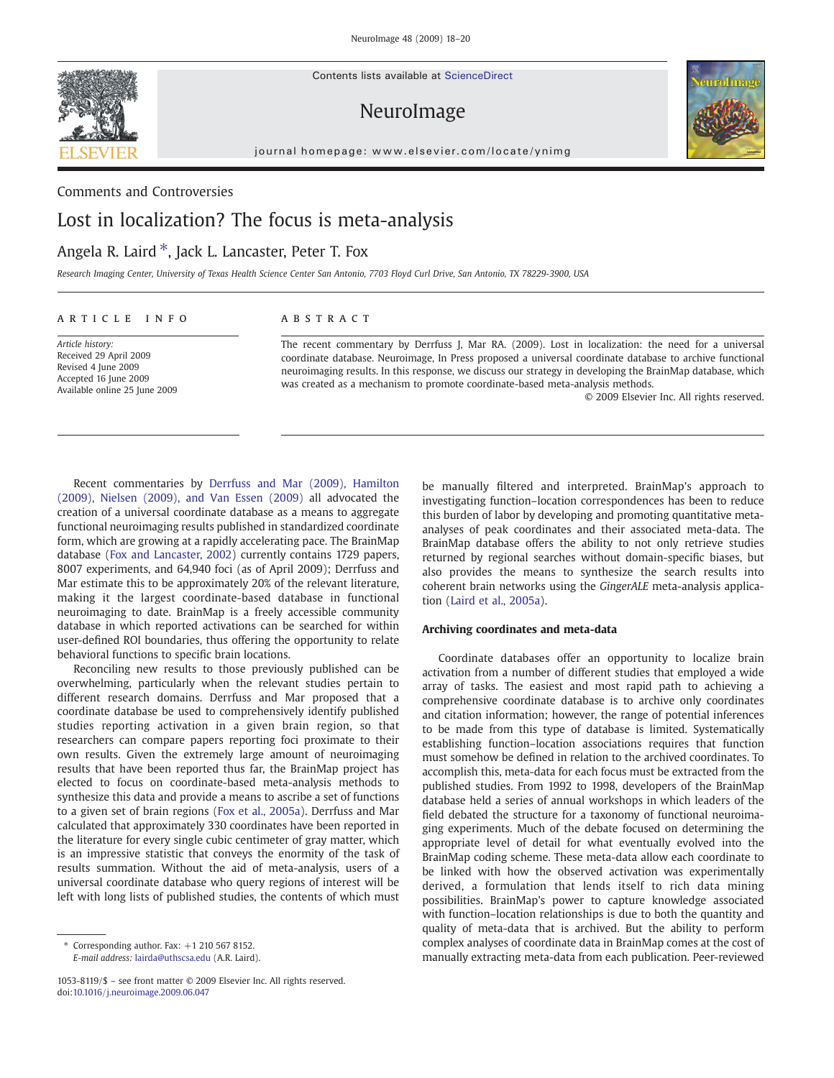

Contents lists available at ScienceDirect

NeuroImage



journal homepage: www.elsevier.com/locate/ynimg

### Comments and Controversies

# Lost in localization? The focus is meta-analysis

## Angela R. Laird  $*$ , Jack L. Lancaster, Peter T. Fox

Research Imaging Center, University of Texas Health Science Center San Antonio, 7703 Floyd Curl Drive, San Antonio, TX 78229-3900, USA

### article info abstract

Article history: Received 29 April 2009 Revised 4 June 2009 Accepted 16 June 2009 Available online 25 June 2009

The recent commentary by Derrfuss J, Mar RA. (2009). Lost in localization: the need for a universal coordinate database. Neuroimage, In Press proposed a universal coordinate database to archive functional neuroimaging results. In this response, we discuss our strategy in developing the BrainMap database, which was created as a mechanism to promote coordinate-based meta-analysis methods.

© 2009 Elsevier Inc. All rights reserved.

Recent commentaries by Derrfuss and Mar (2009), Hamilton (2009), Nielsen (2009), and Van Essen (2009) all advocated the creation of a universal coordinate database as a means to aggregate functional neuroimaging results published in standardized coordinate form, which are growing at a rapidly accelerating pace. The BrainMap database (Fox and Lancaster, 2002) currently contains 1729 papers, 8007 experiments, and 64,940 foci (as of April 2009); Derrfuss and Mar estimate this to be approximately 20% of the relevant literature, making it the largest coordinate-based database in functional neuroimaging to date. BrainMap is a freely accessible community database in which reported activations can be searched for within user-defined ROI boundaries, thus offering the opportunity to relate behavioral functions to specific brain locations.

Reconciling new results to those previously published can be overwhelming, particularly when the relevant studies pertain to different research domains. Derrfuss and Mar proposed that a coordinate database be used to comprehensively identify published studies reporting activation in a given brain region, so that researchers can compare papers reporting foci proximate to their own results. Given the extremely large amount of neuroimaging results that have been reported thus far, the BrainMap project has elected to focus on coordinate-based meta-analysis methods to synthesize this data and provide a means to ascribe a set of functions to a given set of brain regions (Fox et al., 2005a). Derrfuss and Mar calculated that approximately 330 coordinates have been reported in the literature for every single cubic centimeter of gray matter, which is an impressive statistic that conveys the enormity of the task of results summation. Without the aid of meta-analysis, users of a universal coordinate database who query regions of interest will be left with long lists of published studies, the contents of which must

1053-8119/\$ – see front matter © 2009 Elsevier Inc. All rights reserved. doi:10.1016/j.neuroimage.2009.06.047

be manually filtered and interpreted. BrainMap's approach to investigating function–location correspondences has been to reduce this burden of labor by developing and promoting quantitative metaanalyses of peak coordinates and their associated meta-data. The BrainMap database offers the ability to not only retrieve studies returned by regional searches without domain-specific biases, but also provides the means to synthesize the search results into coherent brain networks using the GingerALE meta-analysis application (Laird et al., 2005a).

### Archiving coordinates and meta-data

Coordinate databases offer an opportunity to localize brain activation from a number of different studies that employed a wide array of tasks. The easiest and most rapid path to achieving a comprehensive coordinate database is to archive only coordinates and citation information; however, the range of potential inferences to be made from this type of database is limited. Systematically establishing function–location associations requires that function must somehow be defined in relation to the archived coordinates. To accomplish this, meta-data for each focus must be extracted from the published studies. From 1992 to 1998, developers of the BrainMap database held a series of annual workshops in which leaders of the field debated the structure for a taxonomy of functional neuroimaging experiments. Much of the debate focused on determining the appropriate level of detail for what eventually evolved into the BrainMap coding scheme. These meta-data allow each coordinate to be linked with how the observed activation was experimentally derived, a formulation that lends itself to rich data mining possibilities. BrainMap's power to capture knowledge associated with function–location relationships is due to both the quantity and quality of meta-data that is archived. But the ability to perform complex analyses of coordinate data in BrainMap comes at the cost of manually extracting meta-data from each publication. Peer-reviewed

 $*$  Corresponding author. Fax:  $+1$  210 567 8152. E-mail address: lairda@uthscsa.edu (A.R. Laird).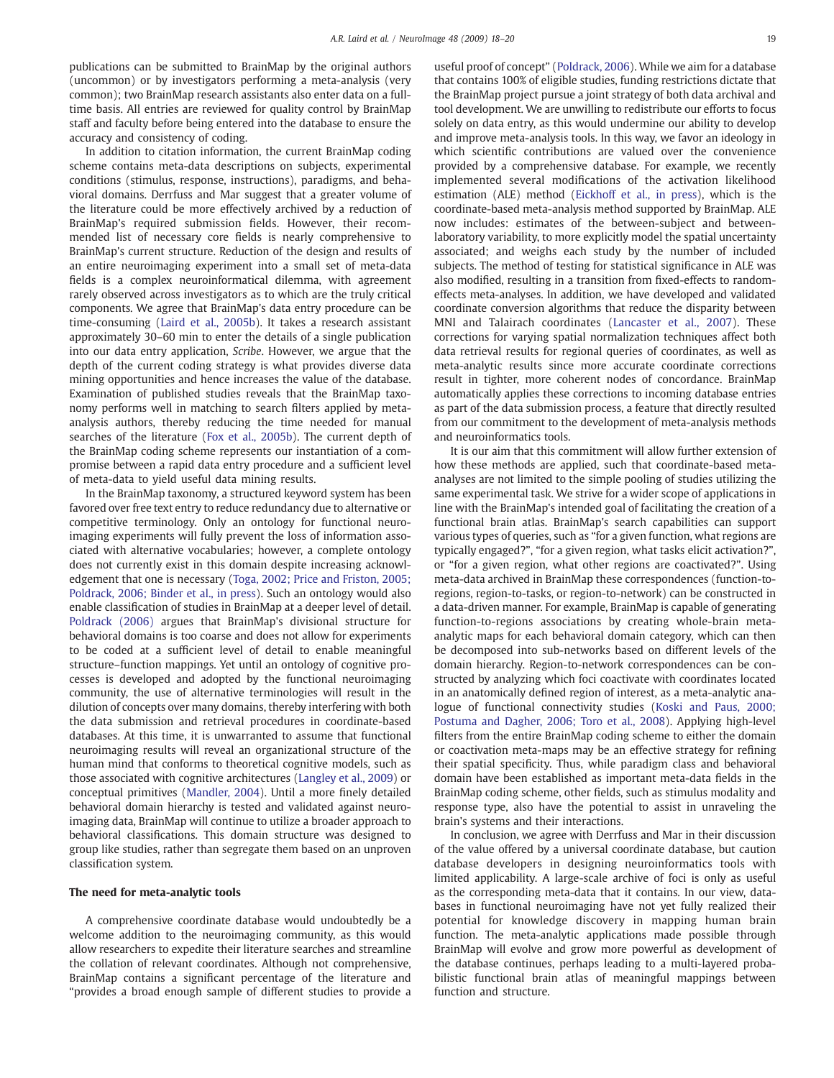publications can be submitted to BrainMap by the original authors (uncommon) or by investigators performing a meta-analysis (very common); two BrainMap research assistants also enter data on a fulltime basis. All entries are reviewed for quality control by BrainMap staff and faculty before being entered into the database to ensure the accuracy and consistency of coding.

In addition to citation information, the current BrainMap coding scheme contains meta-data descriptions on subjects, experimental conditions (stimulus, response, instructions), paradigms, and behavioral domains. Derrfuss and Mar suggest that a greater volume of the literature could be more effectively archived by a reduction of BrainMap's required submission fields. However, their recommended list of necessary core fields is nearly comprehensive to BrainMap's current structure. Reduction of the design and results of an entire neuroimaging experiment into a small set of meta-data fields is a complex neuroinformatical dilemma, with agreement rarely observed across investigators as to which are the truly critical components. We agree that BrainMap's data entry procedure can be time-consuming (Laird et al., 2005b). It takes a research assistant approximately 30–60 min to enter the details of a single publication into our data entry application, Scribe. However, we argue that the depth of the current coding strategy is what provides diverse data mining opportunities and hence increases the value of the database. Examination of published studies reveals that the BrainMap taxonomy performs well in matching to search filters applied by metaanalysis authors, thereby reducing the time needed for manual searches of the literature (Fox et al., 2005b). The current depth of the BrainMap coding scheme represents our instantiation of a compromise between a rapid data entry procedure and a sufficient level of meta-data to yield useful data mining results.

In the BrainMap taxonomy, a structured keyword system has been favored over free text entry to reduce redundancy due to alternative or competitive terminology. Only an ontology for functional neuroimaging experiments will fully prevent the loss of information associated with alternative vocabularies; however, a complete ontology does not currently exist in this domain despite increasing acknowledgement that one is necessary (Toga, 2002; Price and Friston, 2005; Poldrack, 2006; Binder et al., in press). Such an ontology would also enable classification of studies in BrainMap at a deeper level of detail. Poldrack (2006) argues that BrainMap's divisional structure for behavioral domains is too coarse and does not allow for experiments to be coded at a sufficient level of detail to enable meaningful structure–function mappings. Yet until an ontology of cognitive processes is developed and adopted by the functional neuroimaging community, the use of alternative terminologies will result in the dilution of concepts over many domains, thereby interfering with both the data submission and retrieval procedures in coordinate-based databases. At this time, it is unwarranted to assume that functional neuroimaging results will reveal an organizational structure of the human mind that conforms to theoretical cognitive models, such as those associated with cognitive architectures (Langley et al., 2009) or conceptual primitives (Mandler, 2004). Until a more finely detailed behavioral domain hierarchy is tested and validated against neuroimaging data, BrainMap will continue to utilize a broader approach to behavioral classifications. This domain structure was designed to group like studies, rather than segregate them based on an unproven classification system.

### The need for meta-analytic tools

A comprehensive coordinate database would undoubtedly be a welcome addition to the neuroimaging community, as this would allow researchers to expedite their literature searches and streamline the collation of relevant coordinates. Although not comprehensive, BrainMap contains a significant percentage of the literature and "provides a broad enough sample of different studies to provide a

useful proof of concept" (Poldrack, 2006). While we aim for a database that contains 100% of eligible studies, funding restrictions dictate that the BrainMap project pursue a joint strategy of both data archival and tool development. We are unwilling to redistribute our efforts to focus solely on data entry, as this would undermine our ability to develop and improve meta-analysis tools. In this way, we favor an ideology in which scientific contributions are valued over the convenience provided by a comprehensive database. For example, we recently implemented several modifications of the activation likelihood estimation (ALE) method (Eickhoff et al., in press), which is the coordinate-based meta-analysis method supported by BrainMap. ALE now includes: estimates of the between-subject and betweenlaboratory variability, to more explicitly model the spatial uncertainty associated; and weighs each study by the number of included subjects. The method of testing for statistical significance in ALE was also modified, resulting in a transition from fixed-effects to randomeffects meta-analyses. In addition, we have developed and validated coordinate conversion algorithms that reduce the disparity between MNI and Talairach coordinates (Lancaster et al., 2007). These corrections for varying spatial normalization techniques affect both data retrieval results for regional queries of coordinates, as well as meta-analytic results since more accurate coordinate corrections result in tighter, more coherent nodes of concordance. BrainMap automatically applies these corrections to incoming database entries as part of the data submission process, a feature that directly resulted from our commitment to the development of meta-analysis methods and neuroinformatics tools.

It is our aim that this commitment will allow further extension of how these methods are applied, such that coordinate-based metaanalyses are not limited to the simple pooling of studies utilizing the same experimental task. We strive for a wider scope of applications in line with the BrainMap's intended goal of facilitating the creation of a functional brain atlas. BrainMap's search capabilities can support various types of queries, such as "for a given function, what regions are typically engaged?", "for a given region, what tasks elicit activation?", or "for a given region, what other regions are coactivated?". Using meta-data archived in BrainMap these correspondences (function-toregions, region-to-tasks, or region-to-network) can be constructed in a data-driven manner. For example, BrainMap is capable of generating function-to-regions associations by creating whole-brain metaanalytic maps for each behavioral domain category, which can then be decomposed into sub-networks based on different levels of the domain hierarchy. Region-to-network correspondences can be constructed by analyzing which foci coactivate with coordinates located in an anatomically defined region of interest, as a meta-analytic analogue of functional connectivity studies (Koski and Paus, 2000; Postuma and Dagher, 2006; Toro et al., 2008). Applying high-level filters from the entire BrainMap coding scheme to either the domain or coactivation meta-maps may be an effective strategy for refining their spatial specificity. Thus, while paradigm class and behavioral domain have been established as important meta-data fields in the BrainMap coding scheme, other fields, such as stimulus modality and response type, also have the potential to assist in unraveling the brain's systems and their interactions.

In conclusion, we agree with Derrfuss and Mar in their discussion of the value offered by a universal coordinate database, but caution database developers in designing neuroinformatics tools with limited applicability. A large-scale archive of foci is only as useful as the corresponding meta-data that it contains. In our view, databases in functional neuroimaging have not yet fully realized their potential for knowledge discovery in mapping human brain function. The meta-analytic applications made possible through BrainMap will evolve and grow more powerful as development of the database continues, perhaps leading to a multi-layered probabilistic functional brain atlas of meaningful mappings between function and structure.